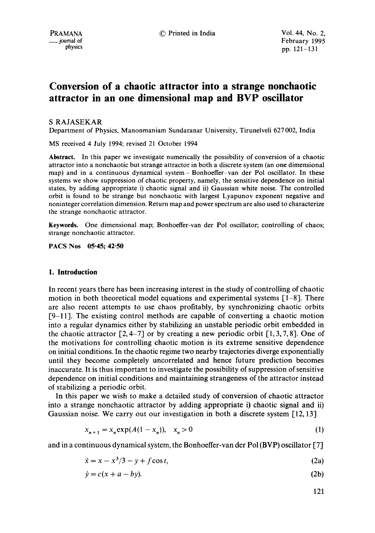# **Conversion of a chaotic attractor into a strange nonchaotic attractor in an one dimensional map and BVP oscillator**

### S RAJASEKAR

Department of Physics, Manonmaniam Sundaranar University, Tirunelveli 627 002, India

MS received 4 July 1994; revised 21 October 1994

**Abstract.** In this paper we investigate numerically the possibility of conversion of a chaotic attractor into a nonchaotic but strange attractor in both a discrete system (an one dimensional map) and in a continuous dynamical system-Bonhoeffer-van der Pol oscillator. In these systems we show suppression of chaotic property, namely, the sensitive dependence on initial states, by adding appropriate i) chaotic signal and ii) Gaussian white noise. The controlled orbit is found to be strange but nonchaotic with largest Lyapunov exponent negative and noninteger correlation dimension. Return mapand power spectrum are also used to characterize the strange nonchaotic attractor.

Keywnrds. One dimensional map; Bonhoeffer-van der Pol oscillator; controlling of chaos; strange nonchaotic attractor.

**PACS Nos 05"45; 42"50** 

### **1. Introduction**

In recent years there has been increasing interest in the study of controlling of chaotic motion in both theoretical model equations and experimental systems  $[1-8]$ . There are also recent attempts to use chaos profitably, by synchronizing chaotic orbits [9-11]. The existing control methods are capable of converting a chaotic motion into a regular dynamics either by stabilizing an unstable periodic orbit embedded in the chaotic attractor  $[2, 4-7]$  or by creating a new periodic orbit  $[1, 3, 7, 8]$ . One of the motivations for controlling chaotic motion is its extreme sensitive dependence on initial conditions. In the chaotic regime two nearby trajectories diverge exponentially until they become completely uncorrelated and hence future prediction becomes inaccurate. It is thus important to investigate the possibility of suppression of sensitive dependence on initial conditions and maintaining strangeness of the attractor instead of stabilizing a periodic orbit.

In this paper we wish to make a detailed study of conversion of chaotic attractor into a strange nonchaotic attractor by adding appropriate i) chaotic signal and ii) Gaussian noise. We carry out our investigation in both a discrete system  $[12, 13]$ 

$$
x_{n+1} = x_n \exp(A(1 - x_n)), \quad x_n > 0 \tag{1}
$$

and in a continuous dynamical system, the Bonhoeffer-van der Pol (BVP) oscillator [7]

$$
\dot{x} = x - x^3/3 - y + f \cos t,\tag{2a}
$$

$$
\dot{y} = c(x + a - by). \tag{2b}
$$

$$
121\\
$$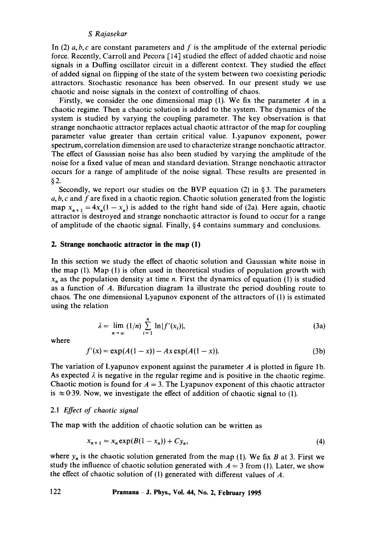### *S Rajasekar*

In (2)  $a, b, c$  are constant parameters and f is the amplitude of the external periodic force. Recently, Carroll and Pecora [14] studied the effect of added chaotic and noise signals in a Duffing oscillator circuit in a different context. They studied the effect of added signal on flipping of the state of the system between two coexisting periodic attractors. Stochastic resonance has been observed. In our present study we use chaotic and noise signals in the context of controlling of chaos.

Firstly, we consider the one dimensional map  $(1)$ . We fix the parameter A in a chaotic regime. Then a chaotic solution is added to the system. The dynamics of the system is studied by varying the coupling parameter. The key observation is that strange nonchaotic attractor replaces actual chaotic attractor of the map for coupling parameter value greater than certain critical value. Lyapunov exponent, power spectrum, correlation dimension are used to characterize strange nonchaotic attractor. The effect of Gaussian noise has also been studied by varying the amplitude of the noise for a fixed value of mean and standard deviation. Strange nonchaotic attractor occurs for a range of amplitude of the noise signal. These results are presented in §2.

Secondly, we report our studies on the BVP equation (2) in § 3. The parameters  $a, b, c$  and f are fixed in a chaotic region. Chaotic solution generated from the logistic map  $x_{n+1} = 4x_n(1 - x_n)$  is added to the right hand side of (2a). Here again, chaotic attractor is destroyed and strange nonchaotic attractor is found to occur for a range of amplitude of the chaotic signal. Finally, § 4 contains summary and conclusions.

### **2. Strange nonchaotic attractor in the map (1)**

In this section we study the effect of chaotic solution and Gaussian white noise in the map (1). Map (1) is often used in theoretical studies of population growth with  $x_n$  as the population density at time *n*. First the dynamics of equation (1) is studied as a function of A. Bifurcation diagram la illustrate the period doubling route to chaos. The one dimensional Lyapunov exponent of the attractors of (1) is estimated using the relation

$$
\lambda = \lim_{n \to \infty} (1/n) \sum_{i=1}^{n} \ln |f'(x_i)|, \tag{3a}
$$

where

$$
f'(x) = \exp(A(1-x)) - Ax \exp(A(1-x)).
$$
 (3b)

The variation of Lyapunov exponent against the parameter  $\vec{A}$  is plotted in figure 1b. As expected  $\lambda$  is negative in the regular regime and is positive in the chaotic regime. Chaotic motion is found for  $A = 3$ . The Lyapunov exponent of this chaotic attractor is  $\approx 0.39$ . Now, we investigate the effect of addition of chaotic signal to (1).

### *2.1 Effect of chaotic signal*

The map with the addition of chaotic solution can be written as

$$
x_{n+1} = x_n \exp(B(1 - x_n)) + Cy_n,
$$
 (4)

where  $y_n$  is the chaotic solution generated from the map (1). We fix B at 3. First we study the influence of chaotic solution generated with  $A = 3$  from (1). Later, we show the effect of chaotic solution of  $(1)$  generated with different values of A.

### **122 Pramana -J. Phys., Vol. 44, No. 2, February 1995**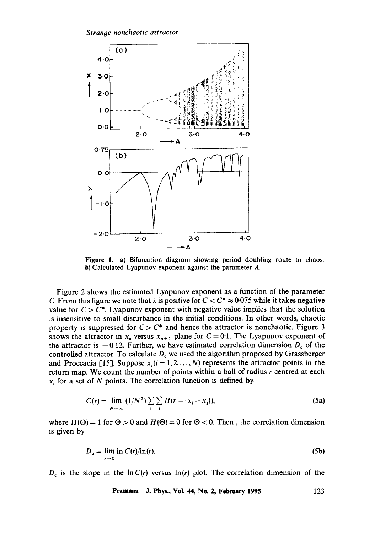

Figure 1. a) Bifurcation diagram showing period doubling route to chaos. h) Calculated Lyapunov exponent against the parameter A.

Figure 2 shows the estimated Lyapunov exponent as a function of the parameter C. From this figure we note that  $\lambda$  is positive for  $C < C^* \approx 0.075$  while it takes negative value for  $C > C^*$ . Lyapunov exponent with negative value implies that the solution is insensitive to small disturbance in the initial conditions. In other words, chaotic property is suppressed for  $C > C^*$  and hence the attractor is nonchaotic. Figure 3 shows the attractor in  $x_n$  versus  $x_{n+1}$  plane for  $C = 0.1$ . The Lyapunov exponent of the attractor is  $-0.12$ . Further, we have estimated correlation dimension  $D_c$  of the controlled attractor. To calculate  $D<sub>c</sub>$  we used the algorithm proposed by Grassberger and Proccacia [15]. Suppose  $x_i(i = 1, 2, ..., N)$  represents the attractor points in the return map. We count the number of points within a ball of radius r centred at each  $x_i$  for a set of N points. The correlation function is defined by

$$
C(r) = \lim_{N \to \infty} (1/N^2) \sum_{i} \sum_{j} H(r - |x_i - x_j|),
$$
 (5a)

where  $H(\Theta) = 1$  for  $\Theta > 0$  and  $H(\Theta) = 0$  for  $\Theta < 0$ . Then, the correlation dimension is given by

$$
D_c = \lim_{r \to 0} \ln C(r) / \ln(r). \tag{5b}
$$

 $D<sub>c</sub>$  is the slope in the  $\ln C(r)$  versus  $\ln(r)$  plot. The correlation dimension of the

**Pramana -J. Phys., Voi. 44, No. 2, February 1995 123**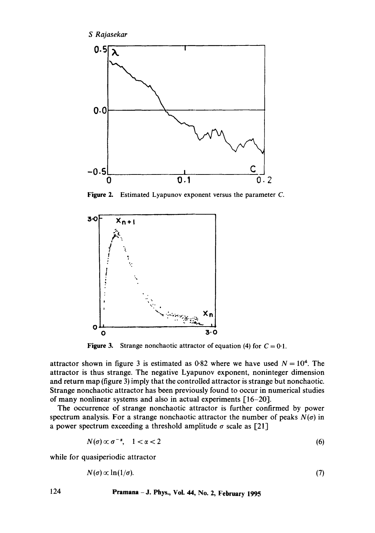

Figure 2. Estimated Lyapunov exponent versus the parameter C.



**Figure 3.** Strange nonchaotic attractor of equation (4) for  $C = 0.1$ .

attractor shown in figure 3 is estimated as 0.82 where we have used  $N = 10^4$ . The attractor is thus strange. The negative Lyapunov exponent, noninteger dimension and return map (figure 3) imply that the controlled attractor is strange but nonchaotic. Strange nonchaotic attractor has been previously found to occur in numerical studies of many nonlinear systems and also in actual experiments [16-20].

The occurrence of strange nonchaotic attractor is further confirmed by power spectrum analysis. For a strange nonchaotic attractor the number of peaks  $N(\sigma)$  in a power spectrum exceeding a threshold amplitude  $\sigma$  scale as [21]

$$
N(\sigma) \propto \sigma^{-\alpha}, \quad 1 < \alpha < 2 \tag{6}
$$

while for quasiperiodic attractor

$$
N(\sigma) \propto \ln(1/\sigma). \tag{7}
$$

## **124 Pramana -J. Phys., Vol. 44, No. 2, February 1995**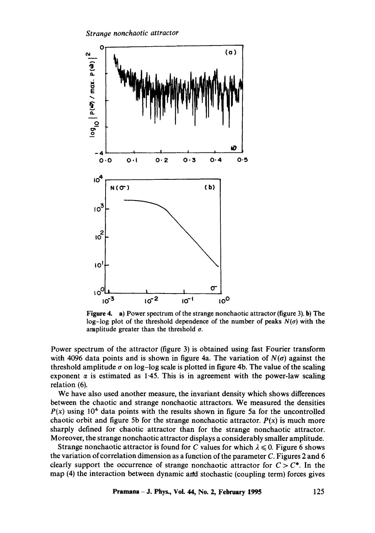*Strange nonchaotic attractor* 



**Figure** 4. a) Power spectrum of the strange nonchaotic attractor (figure 3). b) The log-log plot of the threshold dependence of the number of peaks  $N(\sigma)$  with the amplitude greater than the threshold  $\sigma$ .

Power spectrum of the attractor (figure 3) is obtained using fast Fourier transform with 4096 data points and is shown in figure 4a. The variation of  $N(\sigma)$  against the threshold amplitude  $\sigma$  on log-log scale is plotted in figure 4b. The value of the scaling exponent  $\alpha$  is estimated as 1.45. This is in agreement with the power-law scaling relation (6).

We have also used another measure, the invariant density which shows differences between the chaotic and strange nonchaotic attractors. We measured the densities  $P(x)$  using 10<sup>4</sup> data points with the results shown in figure 5a for the uncontrolled chaotic orbit and figure 5b for the strange nonchaotic attractor.  $P(x)$  is much more sharply defined for chaotic attractor than for the strange nonchaotic attractor. Moreover, the strange nonchaotic attractor displays a considerably smaller amplitude.

Strange nonchaotic attractor is found for C values for which  $\lambda \leq 0$ . Figure 6 shows the variation of correlation dimension as a function of the parameter  $C$ . Figures 2 and 6 clearly support the occurrence of strange nonchaotic attractor for  $C > C^*$ . In the map (4) the interaction between dynamic and stochastic (coupling term) forces gives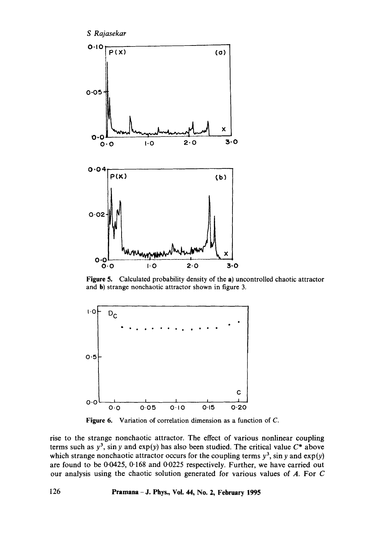

Figure 5. Calculated probability density of the a) uncontrolled chaotic attractor and b) strange noncbaotic attractor shown in figure 3.



Figure 6. Variation of correlation dimension as a function of C.

rise to the strange nonchaotic attractor. The effect of various nonlinear coupling terms such as  $y^3$ , sin y and  $exp(y)$  has also been studied. The critical value  $C^*$  above which strange nonchaotic attractor occurs for the coupling terms  $y^3$ , sin y and  $exp(y)$ are found to be 0.0425, 0.168 and 0.0225 respectively. Further, we have carried out our analysis using the chaotic solution generated for various values of A. For C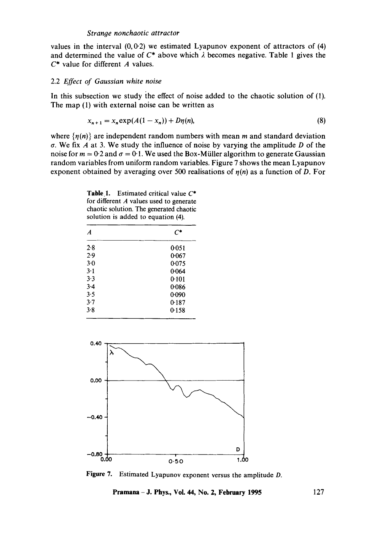#### *Strange nonchaotic attractor*

values in the interval  $(0,0.2)$  we estimated Lyapunov exponent of attractors of  $(4)$ and determined the value of  $C^*$  above which  $\lambda$  becomes negative. Table 1 gives the  $C^*$  value for different A values.

### 2.2 *Effect of Gaussian white noise*

In this subsection we study the effect of noise added to the chaotic solution of (1). The map (1) with external noise can be written as

$$
x_{n+1} = x_n \exp(A(1 - x_n)) + D\eta(n),
$$
 (8)

where  $\{\eta(n)\}\$ are independent random numbers with mean m and standard deviation  $\sigma$ . We fix A at 3. We study the influence of noise by varying the amplitude D of the noise for  $m = 0.2$  and  $\sigma = 0.1$ . We used the Box-Müller algorithm to generate Gaussian random variables from uniform random variables. Figure 7 shows the mean Lyapunov exponent obtained by averaging over 500 realisations of  $n(n)$  as a function of D. For

| A     |       |
|-------|-------|
| 2.8   | 0.051 |
| 2.9   | 0.067 |
| $3-0$ | 0.075 |
| $3-1$ | 0.064 |
| $3-3$ | 0-101 |
| $3-4$ | 0.086 |
| 3.5   | 0.090 |
| $3-7$ | 0.187 |
| 3.8   | 0.158 |

Table 1. Estimated critical value  $C^*$ for different A values used to generate



Figure 7. Estimated Lyapunov exponent versus the amplitude D.

**Pramana - J. Phys., Vol. 44, No. 2, February 1995** 127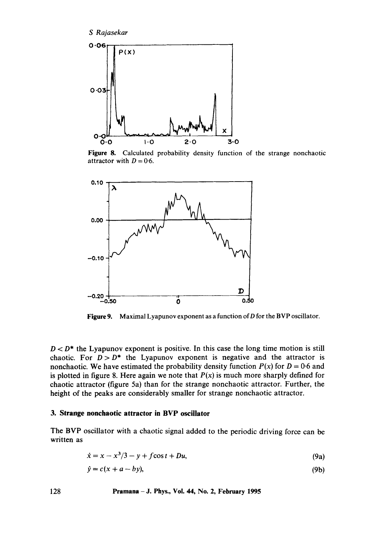*S Rajasekar* 



Figure 8. Calculated probability density function of the strange nonchaotic attractor with  $D = 0.6$ .



**Figure** 9. Maximal Lyapunov exponent as a function of D for the BVP oscillator.

 $D < D^*$  the Lyapunov exponent is positive. In this case the long time motion is still chaotic. For  $D > D^*$  the Lyapunov exponent is negative and the attractor is nonchaotic. We have estimated the probability density function  $P(x)$  for  $D = 0.6$  and is plotted in figure 8. Here again we note that  $P(x)$  is much more sharply defined for chaotic attractor (figure 5a) than for the strange nonchaotic attractor. Further, the height of the peaks are considerably smaller for strange nonchaotic attractor.

### **3. Strange nonchaotic attractor in BVP oscillator**

The BVP oscillator with a chaotic signal added to the periodic driving force can be written as

$$
\dot{x} = x - x^3/3 - y + f\cos t + Du,
$$
 (9a)

$$
\dot{y} = c(x + a - by),\tag{9b}
$$

**128 Pramana -J. Phys., Vol. 44, No. 2, February 1995**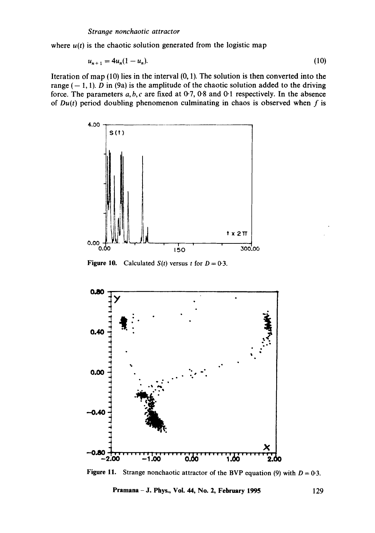where  $u(t)$  is the chaotic solution generated from the logistic map

$$
u_{n+1} = 4u_n(1 - u_n). \tag{10}
$$

Iteration of map  $(10)$  lies in the interval  $(0, 1)$ . The solution is then converted into the range  $(-1, 1)$ . D in (9a) is the amplitude of the chaotic solution added to the driving force. The parameters  $a, b, c$  are fixed at  $0.7$ ,  $0.8$  and  $0.1$  respectively. In the absence of  $Du(t)$  period doubling phenomenon culminating in chaos is observed when f is



**Figure 10.** Calculated  $S(t)$  versus t for  $D = 0.3$ .



**Figure 11.** Strange nonchaotic attractor of the BVP equation (9) with  $D = 0.3$ .

**Pramana - J. Phys., Vol. 44, No. 2, February 1995** 129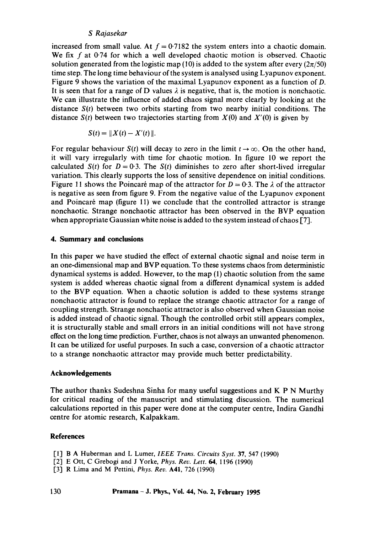### *S Rajasekar*

increased from small value. At  $f = 0.7182$  the system enters into a chaotic domain. We fix  $f$  at 0.74 for which a well developed chaotic motion is observed. Chaotic solution generated from the logistic map (10) is added to the system after every ( $2\pi/50$ ) time step. The long time behaviour of the system is analysed using Lyapunov exponent. Figure 9 shows the variation of the maximal Lyapunov exponent as a function of D. It is seen that for a range of D values  $\lambda$  is negative, that is, the motion is nonchaotic. We can illustrate the influence of added chaos signal more clearly by looking at the distance *S(t)* between two orbits starting from two nearby initial conditions. The distance  $S(t)$  between two trajectories starting from  $X(0)$  and  $X'(0)$  is given by

$$
S(t) = \| X(t) - X'(t) \|.
$$

For regular behaviour *S(t)* will decay to zero in the limit  $t \rightarrow \infty$ . On the other hand, it will vary irregularly with time for chaotic motion. In figure 10 we report the calculated *S(t)* for  $D = 0.3$ . The *S(t)* diminishes to zero after short-lived irregular variation. This clearly supports the loss of sensitive dependence on initial conditions. Figure 11 shows the Poincaré map of the attractor for  $D = 0.3$ . The  $\lambda$  of the attractor is negative as seen from figure 9. From the negative value of the Lyapunov exponent and Poincaré map (figure 11) we conclude that the controlled attractor is strange nonchaotic. Strange nonchaotic attractor has been observed in the BVP equation when appropriate Gaussian white noise is added to the system instead of chaos [7].

### **4. Summary and conclusions**

In this paper we have studied the effect of external chaotic signal and noise term in an one-dimensional map and BVP equation. To these systems chaos from deterministic dynamical systems is added. However, to the map (1) chaotic solution from the same system is added whereas chaotic signal from a different dynamical system is added to the BVP equation. When a chaotic solution is added to these systems strange nonchaotic attractor is found to replace the strange chaotic attractor for a range of coupling strength. Strange nonchaotic attractor is also observed when Gaussian noise is added instead of chaotic signal. Though the controlled orbit still appears complex, it is structurally stable and small errors in an initial conditions will not have strong effect on the long time prediction. Further, chaos is not always an unwanted phenomenon. It can be utilized for useful purposes. In such a case, conversion of a chaotic attractor to a strange nonchaotic attractor may provide much better predictability.

### **Acknowledgements**

The author thanks Sudeshna Sinha for many useful suggestions and K P N Murthy for critical reading of the manuscript and stimulating discussion. The numerical calculations reported in this paper were done at the computer centre, Indira Gandhi centre for atomic research, Kalpakkam.

### **References**

- [l]B A Huberman and L Lumer, *IEEE Trans. Circuits Syst.* 37, 547 (1990)
- [2] E Ott, C Grebogi and J Yorke, *Phys. Rev. Lett.* 64, 1196 (1990)
- [3:] R Lima and M Pettini, *Phys. Rev.* A41, 726 (1990)